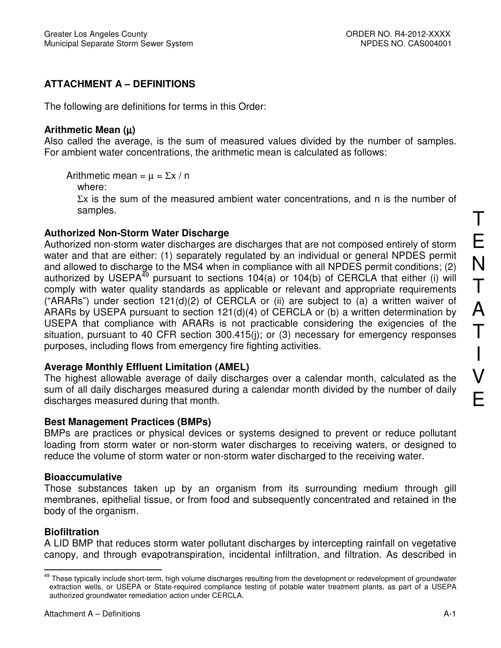# **ATTACHMENT A – DEFINITIONS**

The following are definitions for terms in this Order:

#### **Arithmetic Mean (**µ**)**

Also called the average, is the sum of measured values divided by the number of samples. For ambient water concentrations, the arithmetic mean is calculated as follows:

Arithmetic mean =  $\mu$  =  $\Sigma x / n$ 

where:

 $\Sigma x$  is the sum of the measured ambient water concentrations, and n is the number of samples.

#### **Authorized Non-Storm Water Discharge**

Authorized non-storm water discharges are discharges that are not composed entirely of storm water and that are either: (1) separately regulated by an individual or general NPDES permit and allowed to discharge to the MS4 when in compliance with all NPDES permit conditions; (2) authorized by USEPA<sup>49</sup> pursuant to sections 104(a) or 104(b) of CERCLA that either (i) will comply with water quality standards as applicable or relevant and appropriate requirements ("ARARs") under section  $121(d)(2)$  of CERCLA or (ii) are subject to (a) a written waiver of ARARs by USEPA pursuant to section 121(d)(4) of CERCLA or (b) a written determination by USEPA that compliance with ARARs is not practicable considering the exigencies of the situation, pursuant to 40 CFR section 300.415(i); or (3) necessary for emergency responses purposes, including flows from emergency fire fighting activities.

# **Average Monthly Effluent Limitation (AMEL)**

The highest allowable average of daily discharges over a calendar month, calculated as the sum of all daily discharges measured during a calendar month divided by the number of daily discharges measured during that month.

# **Best Management Practices (BMPs)**

BMPs are practices or physical devices or systems designed to prevent or reduce pollutant loading from storm water or non-storm water discharges to receiving waters, or designed to reduce the volume of storm water or non-storm water discharged to the receiving water.

#### **Bioaccumulative**

Those substances taken up by an organism from its surrounding medium through gill membranes, epithelial tissue, or from food and subsequently concentrated and retained in the body of the organism.

# **Biofiltration**

A LID BMP that reduces storm water pollutant discharges by intercepting rainfall on vegetative canopy, and through evapotranspiration, incidental infiltration, and filtration. As described in E

 $\overline{a}$ <sup>49</sup> These typically include short-term, high volume discharges resulting from the development or redevelopment of groundwater extraction wells, or USEPA or State-required compliance testing of potable water treatment plants, as part of a USEPA authorized groundwater remediation action under CERCLA.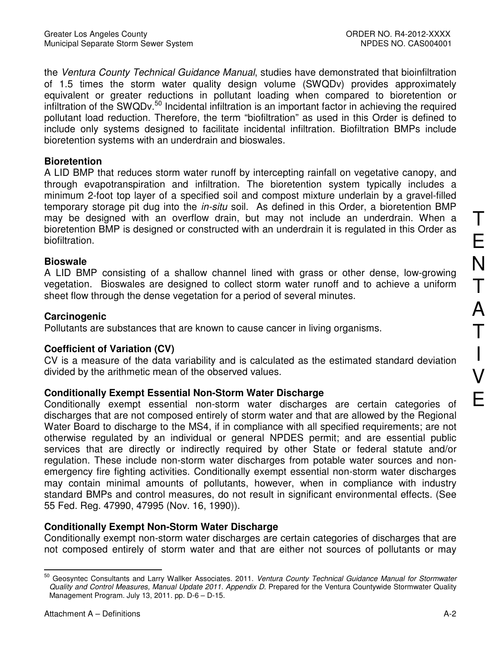the Ventura County Technical Guidance Manual, studies have demonstrated that bioinfiltration of 1.5 times the storm water quality design volume (SWQDv) provides approximately equivalent or greater reductions in pollutant loading when compared to bioretention or infiltration of the SWQDv.<sup>50</sup> Incidental infiltration is an important factor in achieving the required pollutant load reduction. Therefore, the term "biofiltration" as used in this Order is defined to include only systems designed to facilitate incidental infiltration. Biofiltration BMPs include bioretention systems with an underdrain and bioswales.

#### **Bioretention**

A LID BMP that reduces storm water runoff by intercepting rainfall on vegetative canopy, and through evapotranspiration and infiltration. The bioretention system typically includes a minimum 2-foot top layer of a specified soil and compost mixture underlain by a gravel-filled temporary storage pit dug into the *in-situ* soil. As defined in this Order, a bioretention BMP may be designed with an overflow drain, but may not include an underdrain. When a bioretention BMP is designed or constructed with an underdrain it is regulated in this Order as biofiltration.

#### **Bioswale**

A LID BMP consisting of a shallow channel lined with grass or other dense, low-growing vegetation. Bioswales are designed to collect storm water runoff and to achieve a uniform sheet flow through the dense vegetation for a period of several minutes.

#### **Carcinogenic**

Pollutants are substances that are known to cause cancer in living organisms.

# **Coefficient of Variation (CV)**

CV is a measure of the data variability and is calculated as the estimated standard deviation divided by the arithmetic mean of the observed values.

# **Conditionally Exempt Essential Non-Storm Water Discharge**

Conditionally exempt essential non-storm water discharges are certain categories of discharges that are not composed entirely of storm water and that are allowed by the Regional Water Board to discharge to the MS4, if in compliance with all specified requirements; are not otherwise regulated by an individual or general NPDES permit; and are essential public services that are directly or indirectly required by other State or federal statute and/or regulation. These include non-storm water discharges from potable water sources and nonemergency fire fighting activities. Conditionally exempt essential non-storm water discharges may contain minimal amounts of pollutants, however, when in compliance with industry standard BMPs and control measures, do not result in significant environmental effects. (See 55 Fed. Reg. 47990, 47995 (Nov. 16, 1990)).

# **Conditionally Exempt Non-Storm Water Discharge**

Conditionally exempt non-storm water discharges are certain categories of discharges that are not composed entirely of storm water and that are either not sources of pollutants or may

 $\frac{1}{2}$ <sup>50</sup> Geosyntec Consultants and Larry Wallker Associates. 2011. Ventura County Technical Guidance Manual for Stormwater Quality and Control Measures, Manual Update 2011. Appendix D. Prepared for the Ventura Countywide Stormwater Quality Management Program. July 13, 2011. pp. D-6 – D-15.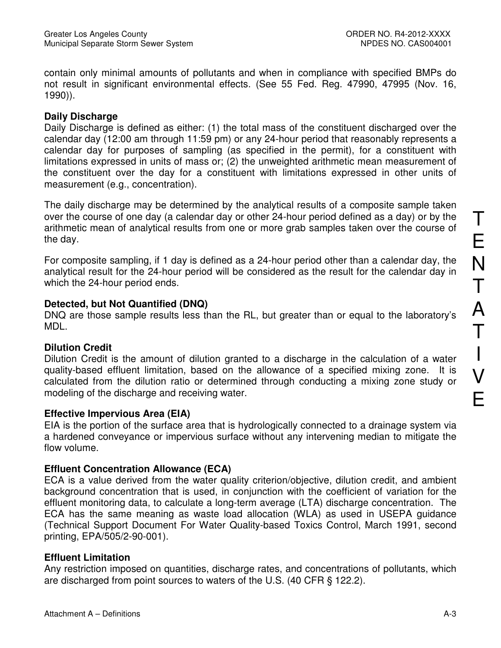contain only minimal amounts of pollutants and when in compliance with specified BMPs do not result in significant environmental effects. (See 55 Fed. Reg. 47990, 47995 (Nov. 16, 1990)).

#### **Daily Discharge**

Daily Discharge is defined as either: (1) the total mass of the constituent discharged over the calendar day (12:00 am through 11:59 pm) or any 24-hour period that reasonably represents a calendar day for purposes of sampling (as specified in the permit), for a constituent with limitations expressed in units of mass or; (2) the unweighted arithmetic mean measurement of the constituent over the day for a constituent with limitations expressed in other units of measurement (e.g., concentration).

The daily discharge may be determined by the analytical results of a composite sample taken over the course of one day (a calendar day or other 24-hour period defined as a day) or by the arithmetic mean of analytical results from one or more grab samples taken over the course of the day.

For composite sampling, if 1 day is defined as a 24-hour period other than a calendar day, the analytical result for the 24-hour period will be considered as the result for the calendar day in which the 24-hour period ends.

#### **Detected, but Not Quantified (DNQ)**

DNQ are those sample results less than the RL, but greater than or equal to the laboratory's MDL.

# **Dilution Credit**

Dilution Credit is the amount of dilution granted to a discharge in the calculation of a water quality-based effluent limitation, based on the allowance of a specified mixing zone. It is calculated from the dilution ratio or determined through conducting a mixing zone study or modeling of the discharge and receiving water.

#### **Effective Impervious Area (EIA)**

EIA is the portion of the surface area that is hydrologically connected to a drainage system via a hardened conveyance or impervious surface without any intervening median to mitigate the flow volume.

# **Effluent Concentration Allowance (ECA)**

ECA is a value derived from the water quality criterion/objective, dilution credit, and ambient background concentration that is used, in conjunction with the coefficient of variation for the effluent monitoring data, to calculate a long-term average (LTA) discharge concentration. The ECA has the same meaning as waste load allocation (WLA) as used in USEPA guidance (Technical Support Document For Water Quality-based Toxics Control, March 1991, second printing, EPA/505/2-90-001).

# **Effluent Limitation**

Any restriction imposed on quantities, discharge rates, and concentrations of pollutants, which are discharged from point sources to waters of the U.S. (40 CFR § 122.2).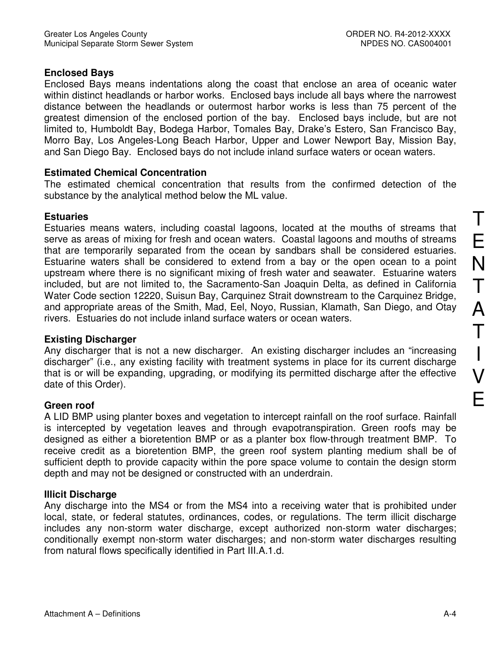# **Enclosed Bays**

Enclosed Bays means indentations along the coast that enclose an area of oceanic water within distinct headlands or harbor works. Enclosed bays include all bays where the narrowest distance between the headlands or outermost harbor works is less than 75 percent of the greatest dimension of the enclosed portion of the bay. Enclosed bays include, but are not limited to, Humboldt Bay, Bodega Harbor, Tomales Bay, Drake's Estero, San Francisco Bay, Morro Bay, Los Angeles-Long Beach Harbor, Upper and Lower Newport Bay, Mission Bay, and San Diego Bay. Enclosed bays do not include inland surface waters or ocean waters.

# **Estimated Chemical Concentration**

The estimated chemical concentration that results from the confirmed detection of the substance by the analytical method below the ML value.

# **Estuaries**

Estuaries means waters, including coastal lagoons, located at the mouths of streams that serve as areas of mixing for fresh and ocean waters. Coastal lagoons and mouths of streams that are temporarily separated from the ocean by sandbars shall be considered estuaries. Estuarine waters shall be considered to extend from a bay or the open ocean to a point upstream where there is no significant mixing of fresh water and seawater. Estuarine waters included, but are not limited to, the Sacramento-San Joaquin Delta, as defined in California Water Code section 12220, Suisun Bay, Carquinez Strait downstream to the Carquinez Bridge, and appropriate areas of the Smith, Mad, Eel, Noyo, Russian, Klamath, San Diego, and Otay rivers. Estuaries do not include inland surface waters or ocean waters.

# **Existing Discharger**

Any discharger that is not a new discharger. An existing discharger includes an "increasing discharger" (i.e., any existing facility with treatment systems in place for its current discharge that is or will be expanding, upgrading, or modifying its permitted discharge after the effective date of this Order).

# **Green roof**

A LID BMP using planter boxes and vegetation to intercept rainfall on the roof surface. Rainfall is intercepted by vegetation leaves and through evapotranspiration. Green roofs may be designed as either a bioretention BMP or as a planter box flow-through treatment BMP. To receive credit as a bioretention BMP, the green roof system planting medium shall be of sufficient depth to provide capacity within the pore space volume to contain the design storm depth and may not be designed or constructed with an underdrain.

# **Illicit Discharge**

Any discharge into the MS4 or from the MS4 into a receiving water that is prohibited under local, state, or federal statutes, ordinances, codes, or regulations. The term illicit discharge includes any non-storm water discharge, except authorized non-storm water discharges; conditionally exempt non-storm water discharges; and non-storm water discharges resulting from natural flows specifically identified in Part III.A.1.d.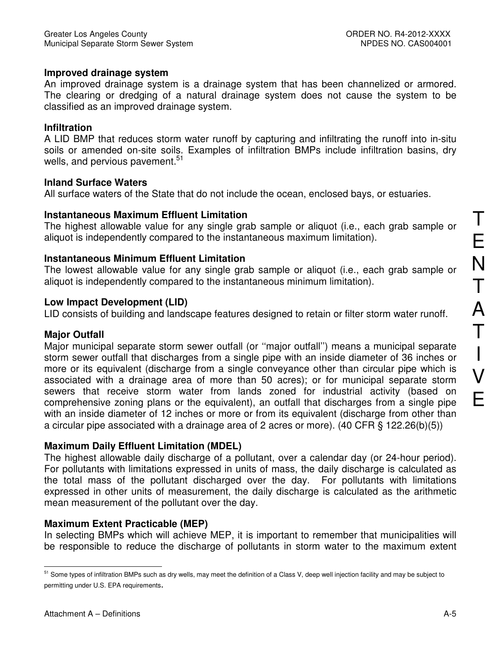#### **Improved drainage system**

An improved drainage system is a drainage system that has been channelized or armored. The clearing or dredging of a natural drainage system does not cause the system to be classified as an improved drainage system.

#### **Infiltration**

A LID BMP that reduces storm water runoff by capturing and infiltrating the runoff into in-situ soils or amended on-site soils. Examples of infiltration BMPs include infiltration basins, dry wells, and pervious pavement.<sup>51</sup>

#### **Inland Surface Waters**

All surface waters of the State that do not include the ocean, enclosed bays, or estuaries.

#### **Instantaneous Maximum Effluent Limitation**

The highest allowable value for any single grab sample or aliquot (i.e., each grab sample or aliquot is independently compared to the instantaneous maximum limitation).

# **Instantaneous Minimum Effluent Limitation**

The lowest allowable value for any single grab sample or aliquot (i.e., each grab sample or aliquot is independently compared to the instantaneous minimum limitation).

#### **Low Impact Development (LID)**

LID consists of building and landscape features designed to retain or filter storm water runoff.

# **Major Outfall**

Major municipal separate storm sewer outfall (or ''major outfall'') means a municipal separate storm sewer outfall that discharges from a single pipe with an inside diameter of 36 inches or more or its equivalent (discharge from a single conveyance other than circular pipe which is associated with a drainage area of more than 50 acres); or for municipal separate storm sewers that receive storm water from lands zoned for industrial activity (based on comprehensive zoning plans or the equivalent), an outfall that discharges from a single pipe with an inside diameter of 12 inches or more or from its equivalent (discharge from other than a circular pipe associated with a drainage area of 2 acres or more). (40 CFR § 122.26(b)(5))

# **Maximum Daily Effluent Limitation (MDEL)**

The highest allowable daily discharge of a pollutant, over a calendar day (or 24-hour period). For pollutants with limitations expressed in units of mass, the daily discharge is calculated as the total mass of the pollutant discharged over the day. For pollutants with limitations expressed in other units of measurement, the daily discharge is calculated as the arithmetic mean measurement of the pollutant over the day.

# **Maximum Extent Practicable (MEP)**

In selecting BMPs which will achieve MEP, it is important to remember that municipalities will be responsible to reduce the discharge of pollutants in storm water to the maximum extent T

E

 $\frac{1}{2}$ <sup>51</sup> Some types of infiltration BMPs such as dry wells, may meet the definition of a Class V, deep well injection facility and may be subject to permitting under U.S. EPA requirements.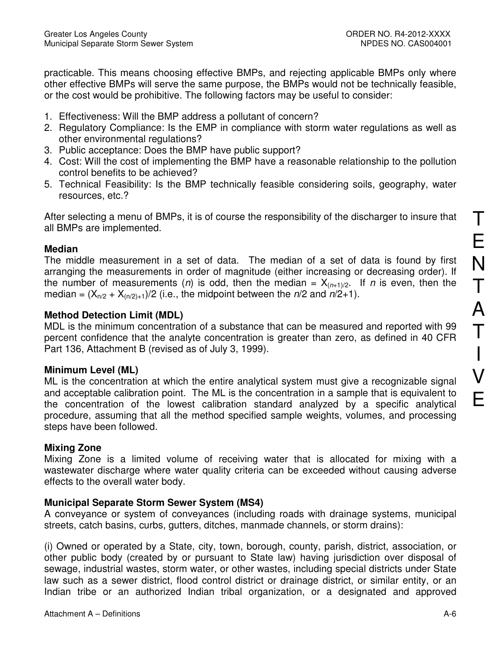practicable. This means choosing effective BMPs, and rejecting applicable BMPs only where other effective BMPs will serve the same purpose, the BMPs would not be technically feasible, or the cost would be prohibitive. The following factors may be useful to consider:

- 1. Effectiveness: Will the BMP address a pollutant of concern?
- 2. Regulatory Compliance: Is the EMP in compliance with storm water regulations as well as other environmental regulations?
- 3. Public acceptance: Does the BMP have public support?
- 4. Cost: Will the cost of implementing the BMP have a reasonable relationship to the pollution control benefits to be achieved?
- 5. Technical Feasibility: Is the BMP technically feasible considering soils, geography, water resources, etc.?

After selecting a menu of BMPs, it is of course the responsibility of the discharger to insure that all BMPs are implemented.

#### **Median**

The middle measurement in a set of data. The median of a set of data is found by first arranging the measurements in order of magnitude (either increasing or decreasing order). If the number of measurements (n) is odd, then the median =  $X_{(n+1)/2}$ . If n is even, then the median =  $(X_{n/2} + X_{(n/2)+1})/2$  (i.e., the midpoint between the  $n/2$  and  $n/2+1$ ).

# **Method Detection Limit (MDL)**

MDL is the minimum concentration of a substance that can be measured and reported with 99 percent confidence that the analyte concentration is greater than zero, as defined in 40 CFR Part 136, Attachment B (revised as of July 3, 1999).

# **Minimum Level (ML)**

ML is the concentration at which the entire analytical system must give a recognizable signal and acceptable calibration point. The ML is the concentration in a sample that is equivalent to the concentration of the lowest calibration standard analyzed by a specific analytical procedure, assuming that all the method specified sample weights, volumes, and processing steps have been followed.

# **Mixing Zone**

Mixing Zone is a limited volume of receiving water that is allocated for mixing with a wastewater discharge where water quality criteria can be exceeded without causing adverse effects to the overall water body.

# **Municipal Separate Storm Sewer System (MS4)**

A conveyance or system of conveyances (including roads with drainage systems, municipal streets, catch basins, curbs, gutters, ditches, manmade channels, or storm drains):

(i) Owned or operated by a State, city, town, borough, county, parish, district, association, or other public body (created by or pursuant to State law) having jurisdiction over disposal of sewage, industrial wastes, storm water, or other wastes, including special districts under State law such as a sewer district, flood control district or drainage district, or similar entity, or an Indian tribe or an authorized Indian tribal organization, or a designated and approved

T

E

N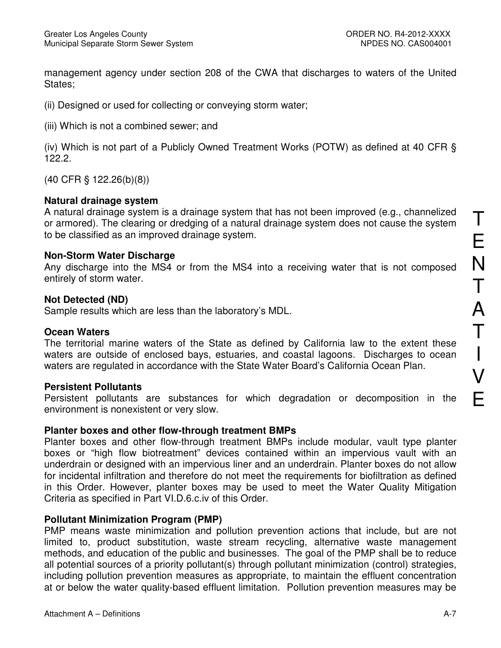management agency under section 208 of the CWA that discharges to waters of the United States:

(ii) Designed or used for collecting or conveying storm water;

(iii) Which is not a combined sewer; and

(iv) Which is not part of a Publicly Owned Treatment Works (POTW) as defined at 40 CFR § 122.2.

(40 CFR § 122.26(b)(8))

#### **Natural drainage system**

A natural drainage system is a drainage system that has not been improved (e.g., channelized or armored). The clearing or dredging of a natural drainage system does not cause the system to be classified as an improved drainage system.

#### **Non-Storm Water Discharge**

Any discharge into the MS4 or from the MS4 into a receiving water that is not composed entirely of storm water.

#### **Not Detected (ND)**

Sample results which are less than the laboratory's MDL.

#### **Ocean Waters**

The territorial marine waters of the State as defined by California law to the extent these waters are outside of enclosed bays, estuaries, and coastal lagoons. Discharges to ocean waters are regulated in accordance with the State Water Board's California Ocean Plan.

#### **Persistent Pollutants**

Persistent pollutants are substances for which degradation or decomposition in the environment is nonexistent or very slow.

#### **Planter boxes and other flow-through treatment BMPs**

Planter boxes and other flow-through treatment BMPs include modular, vault type planter boxes or "high flow biotreatment" devices contained within an impervious vault with an underdrain or designed with an impervious liner and an underdrain. Planter boxes do not allow for incidental infiltration and therefore do not meet the requirements for biofiltration as defined in this Order. However, planter boxes may be used to meet the Water Quality Mitigation Criteria as specified in Part VI.D.6.c.iv of this Order.

#### **Pollutant Minimization Program (PMP)**

PMP means waste minimization and pollution prevention actions that include, but are not limited to, product substitution, waste stream recycling, alternative waste management methods, and education of the public and businesses. The goal of the PMP shall be to reduce all potential sources of a priority pollutant(s) through pollutant minimization (control) strategies, including pollution prevention measures as appropriate, to maintain the effluent concentration at or below the water quality-based effluent limitation. Pollution prevention measures may be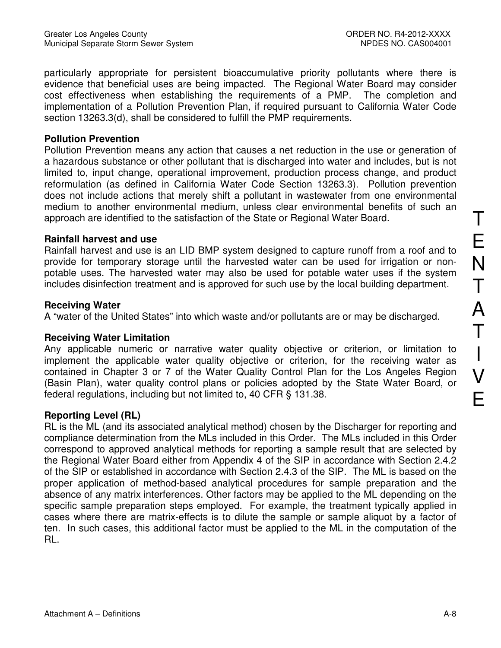particularly appropriate for persistent bioaccumulative priority pollutants where there is evidence that beneficial uses are being impacted. The Regional Water Board may consider cost effectiveness when establishing the requirements of a PMP. The completion and implementation of a Pollution Prevention Plan, if required pursuant to California Water Code section 13263.3(d), shall be considered to fulfill the PMP requirements.

#### **Pollution Prevention**

Pollution Prevention means any action that causes a net reduction in the use or generation of a hazardous substance or other pollutant that is discharged into water and includes, but is not limited to, input change, operational improvement, production process change, and product reformulation (as defined in California Water Code Section 13263.3). Pollution prevention does not include actions that merely shift a pollutant in wastewater from one environmental medium to another environmental medium, unless clear environmental benefits of such an approach are identified to the satisfaction of the State or Regional Water Board.

# **Rainfall harvest and use**

Rainfall harvest and use is an LID BMP system designed to capture runoff from a roof and to provide for temporary storage until the harvested water can be used for irrigation or nonpotable uses. The harvested water may also be used for potable water uses if the system includes disinfection treatment and is approved for such use by the local building department.

# **Receiving Water**

A "water of the United States" into which waste and/or pollutants are or may be discharged.

# **Receiving Water Limitation**

Any applicable numeric or narrative water quality objective or criterion, or limitation to implement the applicable water quality objective or criterion, for the receiving water as contained in Chapter 3 or 7 of the Water Quality Control Plan for the Los Angeles Region (Basin Plan), water quality control plans or policies adopted by the State Water Board, or federal regulations, including but not limited to, 40 CFR § 131.38.

# **Reporting Level (RL)**

RL is the ML (and its associated analytical method) chosen by the Discharger for reporting and compliance determination from the MLs included in this Order. The MLs included in this Order correspond to approved analytical methods for reporting a sample result that are selected by the Regional Water Board either from Appendix 4 of the SIP in accordance with Section 2.4.2 of the SIP or established in accordance with Section 2.4.3 of the SIP. The ML is based on the proper application of method-based analytical procedures for sample preparation and the absence of any matrix interferences. Other factors may be applied to the ML depending on the specific sample preparation steps employed. For example, the treatment typically applied in cases where there are matrix-effects is to dilute the sample or sample aliquot by a factor of ten. In such cases, this additional factor must be applied to the ML in the computation of the RL.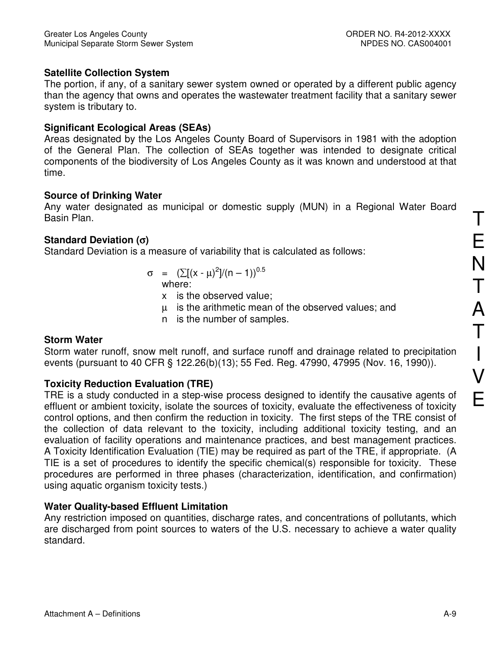# **Satellite Collection System**

The portion, if any, of a sanitary sewer system owned or operated by a different public agency than the agency that owns and operates the wastewater treatment facility that a sanitary sewer system is tributary to.

#### **Significant Ecological Areas (SEAs)**

Areas designated by the Los Angeles County Board of Supervisors in 1981 with the adoption of the General Plan. The collection of SEAs together was intended to designate critical components of the biodiversity of Los Angeles County as it was known and understood at that time.

#### **Source of Drinking Water**

Any water designated as municipal or domestic supply (MUN) in a Regional Water Board Basin Plan.

# **Standard Deviation (**σ**)**

Standard Deviation is a measure of variability that is calculated as follows:

- $\sigma = (\sum (x \mu)^2]/(n 1))^{0.5}$ where:
	- x is the observed value;
	- µ is the arithmetic mean of the observed values; and
	- n is the number of samples.

# **Storm Water**

Storm water runoff, snow melt runoff, and surface runoff and drainage related to precipitation events (pursuant to 40 CFR § 122.26(b)(13); 55 Fed. Reg. 47990, 47995 (Nov. 16, 1990)).

# **Toxicity Reduction Evaluation (TRE)**

TRE is a study conducted in a step-wise process designed to identify the causative agents of effluent or ambient toxicity, isolate the sources of toxicity, evaluate the effectiveness of toxicity control options, and then confirm the reduction in toxicity. The first steps of the TRE consist of the collection of data relevant to the toxicity, including additional toxicity testing, and an evaluation of facility operations and maintenance practices, and best management practices. A Toxicity Identification Evaluation (TIE) may be required as part of the TRE, if appropriate. (A TIE is a set of procedures to identify the specific chemical(s) responsible for toxicity. These procedures are performed in three phases (characterization, identification, and confirmation) using aquatic organism toxicity tests.)

# **Water Quality-based Effluent Limitation**

Any restriction imposed on quantities, discharge rates, and concentrations of pollutants, which are discharged from point sources to waters of the U.S. necessary to achieve a water quality standard.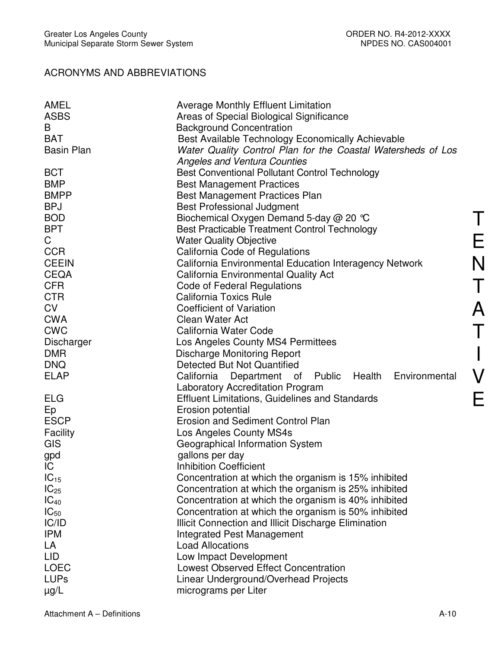# ACRONYMS AND ABBREVIATIONS

| AMEL              | <b>Average Monthly Effluent Limitation</b>                   |
|-------------------|--------------------------------------------------------------|
| <b>ASBS</b>       | Areas of Special Biological Significance                     |
| B                 | <b>Background Concentration</b>                              |
| <b>BAT</b>        | Best Available Technology Economically Achievable            |
| <b>Basin Plan</b> | Water Quality Control Plan for the Coastal Watersheds of Los |
|                   | <b>Angeles and Ventura Counties</b>                          |
| <b>BCT</b>        | <b>Best Conventional Pollutant Control Technology</b>        |
| <b>BMP</b>        |                                                              |
| <b>BMPP</b>       | <b>Best Management Practices</b>                             |
| <b>BPJ</b>        | <b>Best Management Practices Plan</b>                        |
|                   | <b>Best Professional Judgment</b>                            |
| <b>BOD</b>        | Biochemical Oxygen Demand 5-day @ 20 °C                      |
| <b>BPT</b>        | Best Practicable Treatment Control Technology                |
| C                 | <b>Water Quality Objective</b>                               |
| <b>CCR</b>        | California Code of Regulations                               |
| <b>CEEIN</b>      | California Environmental Education Interagency Network       |
| <b>CEQA</b>       | <b>California Environmental Quality Act</b>                  |
| <b>CFR</b>        | Code of Federal Regulations                                  |
| <b>CTR</b>        | <b>California Toxics Rule</b>                                |
| <b>CV</b>         | <b>Coefficient of Variation</b>                              |
| <b>CWA</b>        | Clean Water Act                                              |
| <b>CWC</b>        | California Water Code                                        |
| Discharger        | Los Angeles County MS4 Permittees                            |
| <b>DMR</b>        | <b>Discharge Monitoring Report</b>                           |
| <b>DNQ</b>        | Detected But Not Quantified                                  |
| <b>ELAP</b>       | California Department of Public Health Environmental         |
|                   | <b>Laboratory Accreditation Program</b>                      |
| <b>ELG</b>        | <b>Effluent Limitations, Guidelines and Standards</b>        |
| Ep                | Erosion potential                                            |
| <b>ESCP</b>       | <b>Erosion and Sediment Control Plan</b>                     |
| Facility          | Los Angeles County MS4s                                      |
| GIS               | Geographical Information System                              |
| gpd               | gallons per day                                              |
| IC                | <b>Inhibition Coefficient</b>                                |
| $IC_{15}$         | Concentration at which the organism is 15% inhibited         |
| $IC_{25}$         | Concentration at which the organism is 25% inhibited         |
| $IC_{40}$         | Concentration at which the organism is 40% inhibited         |
| $IC_{50}$         | Concentration at which the organism is 50% inhibited         |
| IC/ID             | Illicit Connection and Illicit Discharge Elimination         |
| <b>IPM</b>        | <b>Integrated Pest Management</b>                            |
| LA                | <b>Load Allocations</b>                                      |
| <b>LID</b>        | Low Impact Development                                       |
| <b>LOEC</b>       | <b>Lowest Observed Effect Concentration</b>                  |
| <b>LUPs</b>       | Linear Underground/Overhead Projects                         |
| $\mu$ g/L         | micrograms per Liter                                         |
|                   |                                                              |

T

E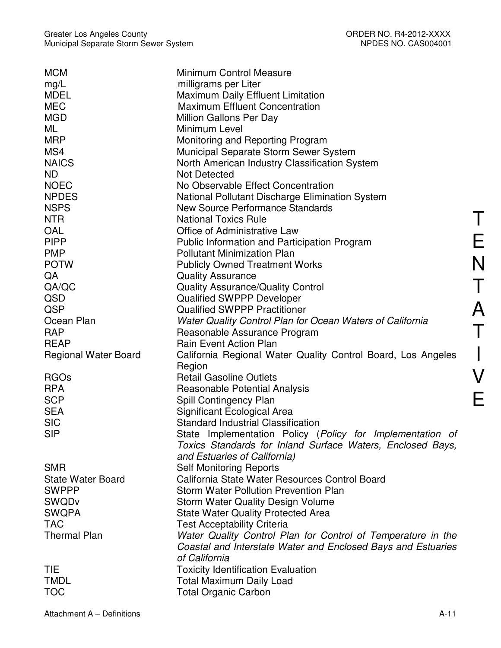| <b>MCM</b>                  | <b>Minimum Control Measure</b>                               |
|-----------------------------|--------------------------------------------------------------|
| mg/L                        | milligrams per Liter                                         |
| <b>MDEL</b>                 | Maximum Daily Effluent Limitation                            |
| <b>MEC</b>                  | <b>Maximum Effluent Concentration</b>                        |
| <b>MGD</b>                  | Million Gallons Per Day                                      |
| ML                          | Minimum Level                                                |
| <b>MRP</b>                  | Monitoring and Reporting Program                             |
| MS4                         | Municipal Separate Storm Sewer System                        |
| <b>NAICS</b>                | North American Industry Classification System                |
| ND.                         | <b>Not Detected</b>                                          |
| <b>NOEC</b>                 | No Observable Effect Concentration                           |
| <b>NPDES</b>                | National Pollutant Discharge Elimination System              |
| <b>NSPS</b>                 | New Source Performance Standards                             |
| <b>NTR</b>                  | <b>National Toxics Rule</b>                                  |
| <b>OAL</b>                  | Office of Administrative Law                                 |
| <b>PIPP</b>                 | <b>Public Information and Participation Program</b>          |
| <b>PMP</b>                  | <b>Pollutant Minimization Plan</b>                           |
| <b>POTW</b>                 | <b>Publicly Owned Treatment Works</b>                        |
| QA                          | <b>Quality Assurance</b>                                     |
| QA/QC                       | <b>Quality Assurance/Quality Control</b>                     |
| QSD                         | <b>Qualified SWPPP Developer</b>                             |
| QSP                         | <b>Qualified SWPPP Practitioner</b>                          |
| Ocean Plan                  | Water Quality Control Plan for Ocean Waters of California    |
| <b>RAP</b>                  | Reasonable Assurance Program                                 |
| <b>REAP</b>                 | <b>Rain Event Action Plan</b>                                |
| <b>Regional Water Board</b> | California Regional Water Quality Control Board, Los Angeles |
|                             | Region                                                       |
| <b>RGOs</b>                 | <b>Retail Gasoline Outlets</b>                               |
| <b>RPA</b>                  | Reasonable Potential Analysis                                |
| <b>SCP</b>                  | Spill Contingency Plan                                       |
| <b>SEA</b>                  | Significant Ecological Area                                  |
| <b>SIC</b>                  | <b>Standard Industrial Classification</b>                    |
| <b>SIP</b>                  | State Implementation Policy (Policy for Implementation of    |
|                             | Toxics Standards for Inland Surface Waters, Enclosed Bays,   |
|                             | and Estuaries of California)                                 |
| <b>SMR</b>                  | <b>Self Monitoring Reports</b>                               |
| <b>State Water Board</b>    | California State Water Resources Control Board               |
| <b>SWPPP</b>                | <b>Storm Water Pollution Prevention Plan</b>                 |
| <b>SWQDv</b>                | <b>Storm Water Quality Design Volume</b>                     |
| <b>SWQPA</b>                | <b>State Water Quality Protected Area</b>                    |
| <b>TAC</b>                  | <b>Test Acceptability Criteria</b>                           |
| <b>Thermal Plan</b>         | Water Quality Control Plan for Control of Temperature in the |
|                             | Coastal and Interstate Water and Enclosed Bays and Estuaries |
|                             | of California                                                |
| <b>TIE</b>                  | <b>Toxicity Identification Evaluation</b>                    |
| <b>TMDL</b>                 | <b>Total Maximum Daily Load</b>                              |
| <b>TOC</b>                  | <b>Total Organic Carbon</b>                                  |
|                             |                                                              |